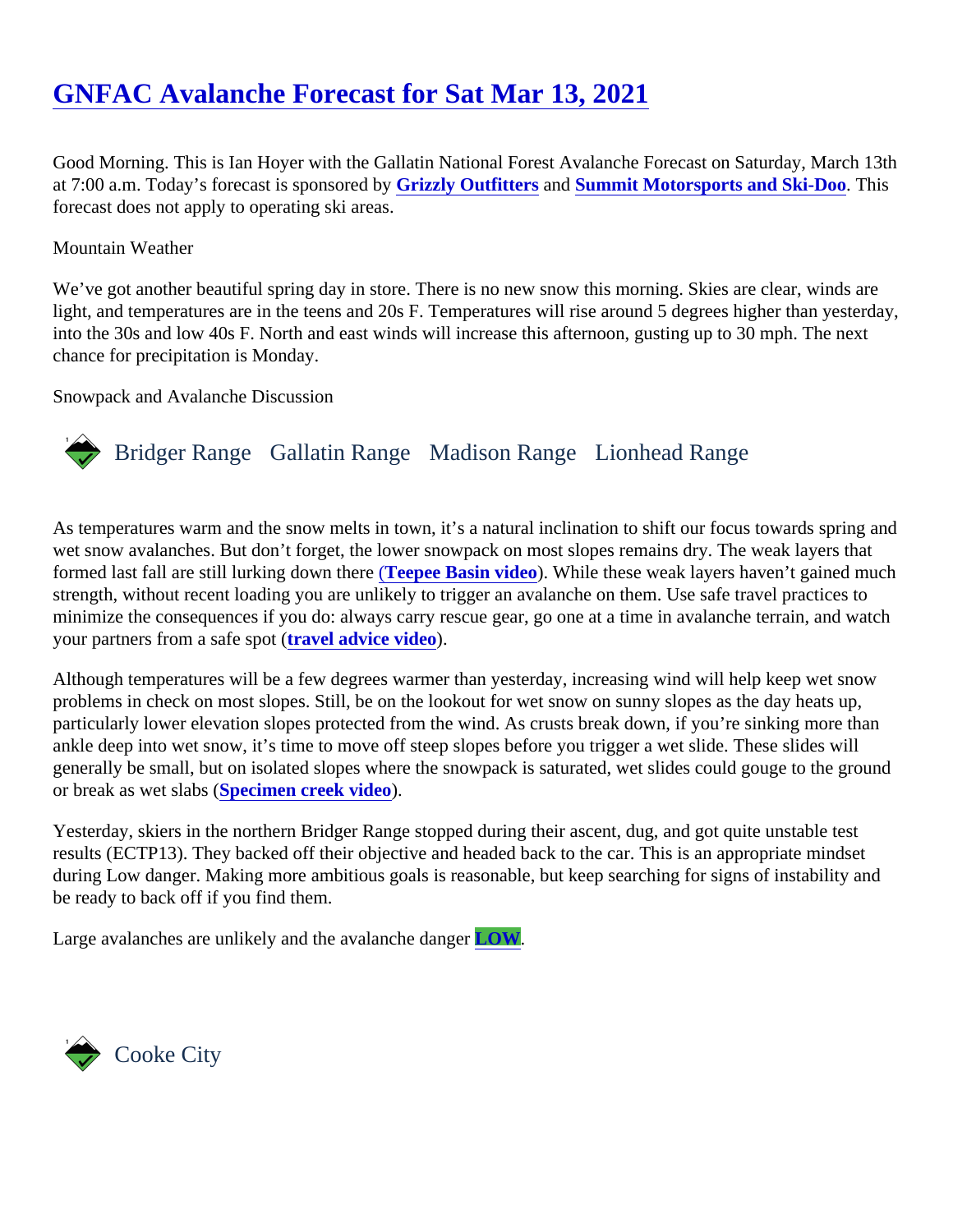Good Morning. This is Ian Hoyer with the Gallatin National Forest Avalanche Forecast on Saturday, March 13th at 7:00 a.m. Today's forecast is sponsore **Gbizzly Outfitters** and [Summit Motorsports and Ski-Doo.](https://summitmotorsports.net/) This forecast does not apply to operating ski areas.

## Mountain Weather

We've got another beautiful spring day in store. There is no new snow this morning. Skies are clear, winds ar light, and temperatures are in the teens and 20s F. Temperatures will rise around 5 degrees higher than yester into the 30s and low 40s F. North and east winds will increase this afternoon, gusting up to 30 mph. The next chance for precipitation is Monday.

Snowpack and Avalanche Discussion

## Bridger Range Gallatin Range Madison RangeLionhead Range

As temperatures warm and the snow melts in town, it's a natural inclination to shift our focus towards spring a wet snow avalanches. But don't forget, the lower snowpack on most slopes remains dry. The weak layers that formed last fall are still lurking down the **Teepee Basin vide** b While these weak layers haven't gained much strength, without recent loading you are unlikely to trigger an avalanche on them. Use safe travel practices to minimize the consequences if you do: always carry rescue gear, go one at a time in avalanche terrain, and watch your partners from a safe spotavel advice vided.

Although temperatures will be a few degrees warmer than yesterday, increasing wind will help keep wet snow problems in check on most slopes. Still, be on the lookout for wet snow on sunny slopes as the day heats up, particularly lower elevation slopes protected from the wind. As crusts break down, if you're sinking more than ankle deep into wet snow, it's time to move off steep slopes before you trigger a wet slide. These slides will generally be small, but on isolated slopes where the snowpack is saturated, wet slides could gouge to the gro or break as wet slab**S**pecimen creek videp

Yesterday, skiers in the northern Bridger Range stopped during their ascent, dug, and got quite unstable test results (ECTP13). They backed off their objective and headed back to the car. This is an appropriate mindset during Low danger. Making more ambitious goals is reasonable, but keep searching for signs of instability and be ready to back off if you find them.

Large avalanches are unlikely and the avalanche  $d$ **LOW**.

Cooke City